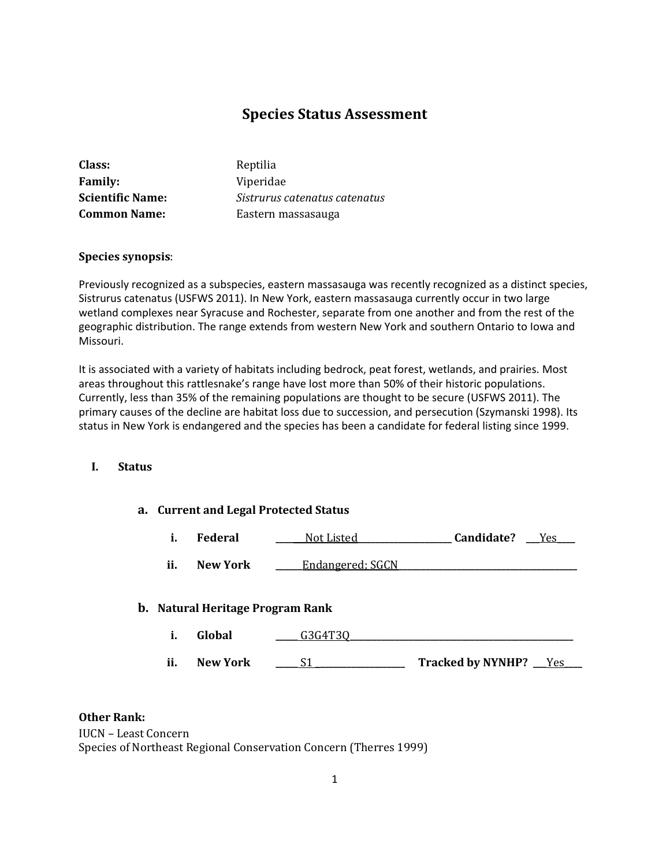# **Species Status Assessment**

| Class:                  | Reptilia                      |
|-------------------------|-------------------------------|
| <b>Family:</b>          | Viperidae                     |
| <b>Scientific Name:</b> | Sistrurus catenatus catenatus |
| <b>Common Name:</b>     | Eastern massasauga            |

#### **Species synopsis**:

Previously recognized as a subspecies, eastern massasauga was recently recognized as a distinct species, Sistrurus catenatus (USFWS 2011). In New York, eastern massasauga currently occur in two large wetland complexes near Syracuse and Rochester, separate from one another and from the rest of the geographic distribution. The range extends from western New York and southern Ontario to Iowa and Missouri.

It is associated with a variety of habitats including bedrock, peat forest, wetlands, and prairies. Most areas throughout this rattlesnake's range have lost more than 50% of their historic populations. Currently, less than 35% of the remaining populations are thought to be secure (USFWS 2011). The primary causes of the decline are habitat loss due to succession, and persecution (Szymanski 1998). Its status in New York is endangered and the species has been a candidate for federal listing since 1999.

#### **I. Status**

#### **a. Current and Legal Protected Status**

| Federal | Not Listed | Candidate? | Yes |
|---------|------------|------------|-----|
|         |            |            |     |

| ii. | <b>New York</b> | Endangered; SGCN |  |
|-----|-----------------|------------------|--|
|-----|-----------------|------------------|--|

### **b. Natural Heritage Program Rank**

| л.  | Global          |                          |    |
|-----|-----------------|--------------------------|----|
|     |                 |                          |    |
| ii. | <b>New York</b> | <b>Tracked by NYNHP?</b> | es |

## **Other Rank:**

IUCN – Least Concern Species of Northeast Regional Conservation Concern (Therres 1999)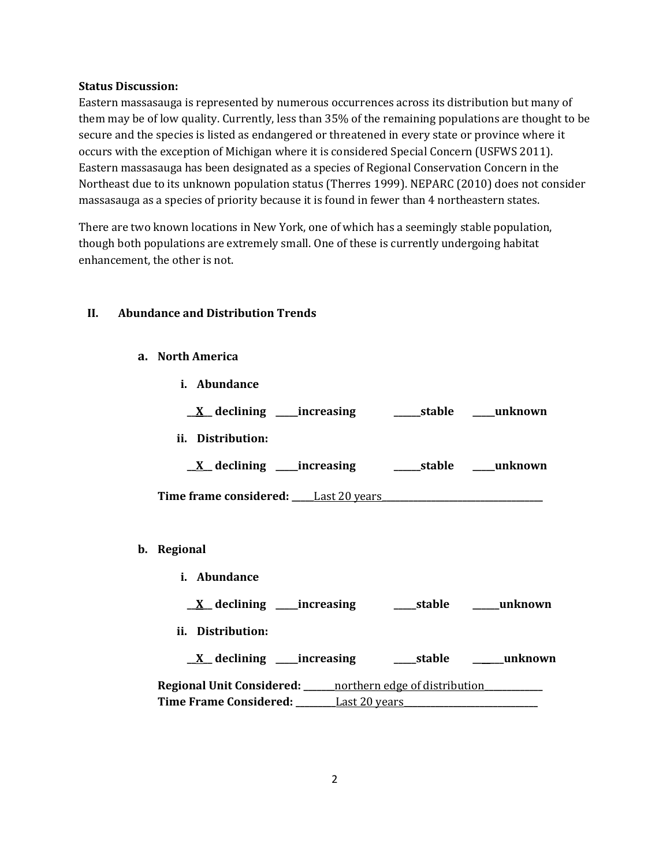#### **Status Discussion:**

Eastern massasauga is represented by numerous occurrences across its distribution but many of them may be of low quality. Currently, less than 35% of the remaining populations are thought to be secure and the species is listed as endangered or threatened in every state or province where it occurs with the exception of Michigan where it is considered Special Concern (USFWS 2011). Eastern massasauga has been designated as a species of Regional Conservation Concern in the Northeast due to its unknown population status (Therres 1999). NEPARC (2010) does not consider massasauga as a species of priority because it is found in fewer than 4 northeastern states.

There are two known locations in New York, one of which has a seemingly stable population, though both populations are extremely small. One of these is currently undergoing habitat enhancement, the other is not.

## **II. Abundance and Distribution Trends**

**i. Abundance**

**a. North America**

| ii. Distribution:                                                       |  |
|-------------------------------------------------------------------------|--|
| <u>X</u> declining ____increasing _________stable _____unknown          |  |
|                                                                         |  |
|                                                                         |  |
| b. Regional                                                             |  |
| <i>i.</i> Abundance                                                     |  |
| <u>X</u> declining ____increasing _______stable ______unknown           |  |
| ii. Distribution:                                                       |  |
| <u>X</u> declining ____increasing ______stable ______unknown            |  |
| Regional Unit Considered: _____ northern edge of distribution__________ |  |
|                                                                         |  |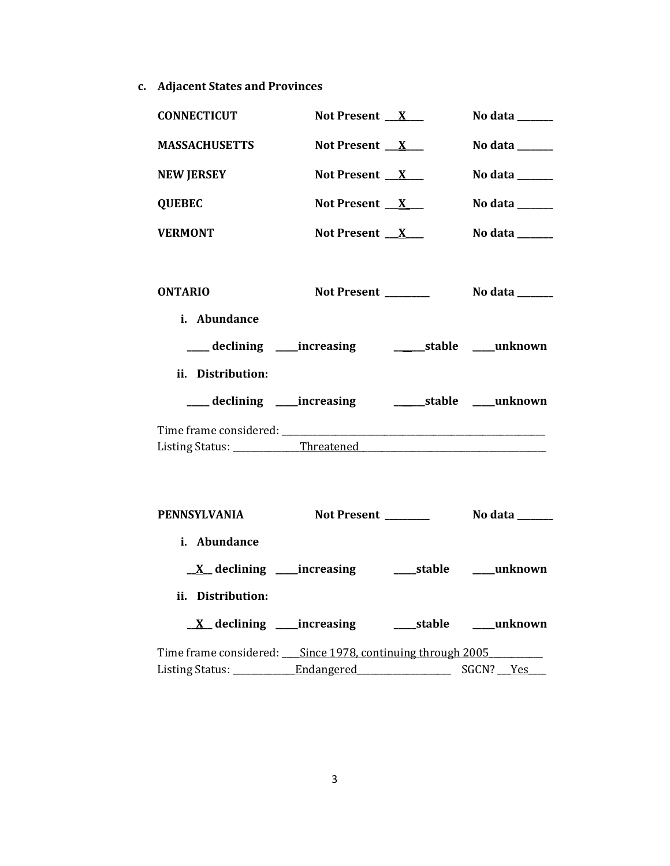**c. Adjacent States and Provinces**

| <b>CONNECTICUT</b>                                                   | Not Present $X$     | No data ______                                                              |
|----------------------------------------------------------------------|---------------------|-----------------------------------------------------------------------------|
| <b>MASSACHUSETTS</b>                                                 | Not Present $X$     | No data ______                                                              |
| <b>NEW JERSEY</b>                                                    | Not Present $X$     | No data $\_\_$                                                              |
| <b>QUEBEC</b>                                                        | Not Present $X$     | No data ______                                                              |
| <b>VERMONT</b>                                                       | Not Present $X$     | No data $\frac{1}{\sqrt{1-\frac{1}{2}}\cdot\frac{1}{\sqrt{1-\frac{1}{2}}}}$ |
|                                                                      |                     |                                                                             |
| <b>ONTARIO</b>                                                       | Not Present _______ | No data _______                                                             |
| i. Abundance                                                         |                     |                                                                             |
| ___ declining ___ increasing ______________stable _____unknown       |                     |                                                                             |
| ii. Distribution:                                                    |                     |                                                                             |
| ____ declining ____ increasing ________________stable ______ unknown |                     |                                                                             |
|                                                                      |                     |                                                                             |
| Listing Status: ______________Threatened                             |                     |                                                                             |
|                                                                      |                     |                                                                             |
| PENNSYLVANIA                                                         |                     |                                                                             |
| i. Abundance                                                         |                     |                                                                             |
|                                                                      |                     |                                                                             |
| ii. Distribution:                                                    |                     |                                                                             |
|                                                                      |                     |                                                                             |
| <u>X</u> declining ____increasing ______stable ____unknown           |                     |                                                                             |
| Time frame considered: _____ Since 1978, continuing through 2005     |                     |                                                                             |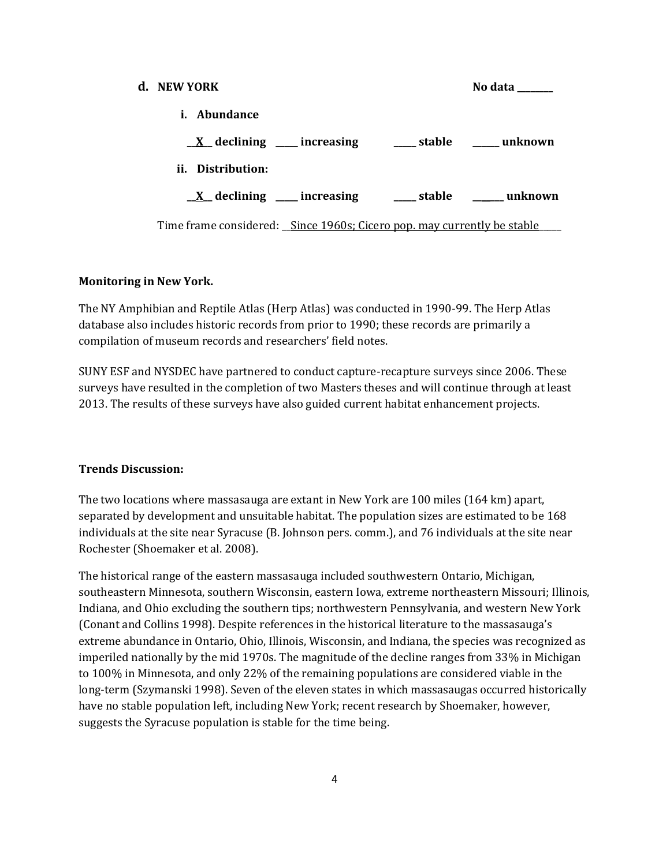| d. NEW YORK                                                             |                                                          | No data                                                         |
|-------------------------------------------------------------------------|----------------------------------------------------------|-----------------------------------------------------------------|
| <i>i.</i> Abundance                                                     |                                                          |                                                                 |
|                                                                         | $X$ declining ____ increasing _____ stable _____ unknown |                                                                 |
| ii. Distribution:                                                       |                                                          |                                                                 |
|                                                                         |                                                          | $\underline{X}$ declining ___ increasing ___ stable ___ unknown |
| Time frame considered: Since 1960s; Cicero pop. may currently be stable |                                                          |                                                                 |

#### **Monitoring in New York.**

The NY Amphibian and Reptile Atlas (Herp Atlas) was conducted in 1990-99. The Herp Atlas database also includes historic records from prior to 1990; these records are primarily a compilation of museum records and researchers' field notes.

SUNY ESF and NYSDEC have partnered to conduct capture-recapture surveys since 2006. These surveys have resulted in the completion of two Masters theses and will continue through at least 2013. The results of these surveys have also guided current habitat enhancement projects.

#### **Trends Discussion:**

The two locations where massasauga are extant in New York are 100 miles (164 km) apart, separated by development and unsuitable habitat. The population sizes are estimated to be 168 individuals at the site near Syracuse (B. Johnson pers. comm.), and 76 individuals at the site near Rochester (Shoemaker et al. 2008).

The historical range of the eastern massasauga included southwestern Ontario, Michigan, southeastern Minnesota, southern Wisconsin, eastern Iowa, extreme northeastern Missouri; Illinois, Indiana, and Ohio excluding the southern tips; northwestern Pennsylvania, and western New York (Conant and Collins 1998). Despite references in the historical literature to the massasauga's extreme abundance in Ontario, Ohio, Illinois, Wisconsin, and Indiana, the species was recognized as imperiled nationally by the mid 1970s. The magnitude of the decline ranges from 33% in Michigan to 100% in Minnesota, and only 22% of the remaining populations are considered viable in the long-term (Szymanski 1998). Seven of the eleven states in which massasaugas occurred historically have no stable population left, including New York; recent research by Shoemaker, however, suggests the Syracuse population is stable for the time being.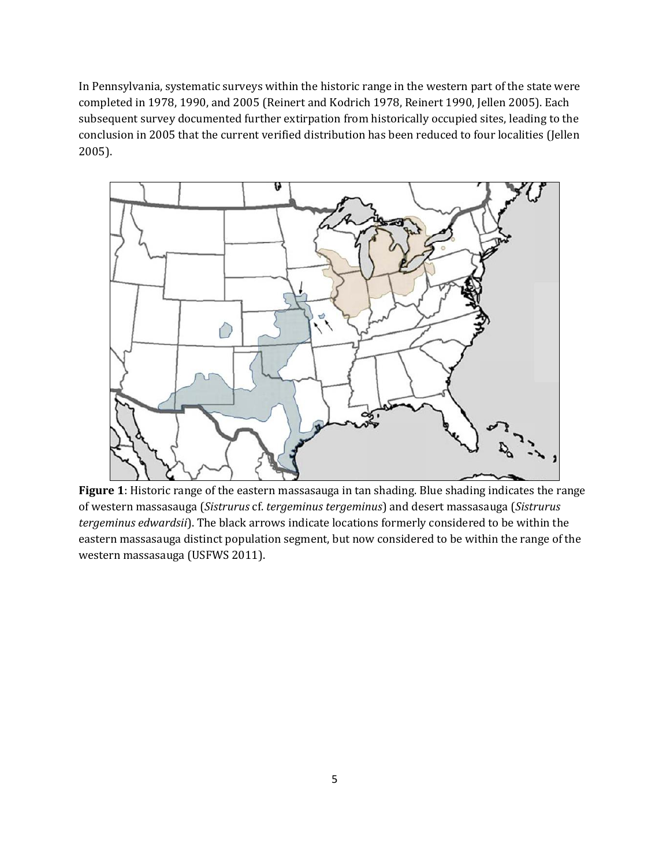In Pennsylvania, systematic surveys within the historic range in the western part of the state were completed in 1978, 1990, and 2005 (Reinert and Kodrich 1978, Reinert 1990, Jellen 2005). Each subsequent survey documented further extirpation from historically occupied sites, leading to the conclusion in 2005 that the current verified distribution has been reduced to four localities (Jellen 2005).



**Figure 1**: Historic range of the eastern massasauga in tan shading. Blue shading indicates the range of western massasauga (*Sistrurus* cf. *tergeminus tergeminus*) and desert massasauga (*Sistrurus tergeminus edwardsii*). The black arrows indicate locations formerly considered to be within the eastern massasauga distinct population segment, but now considered to be within the range of the western massasauga (USFWS 2011).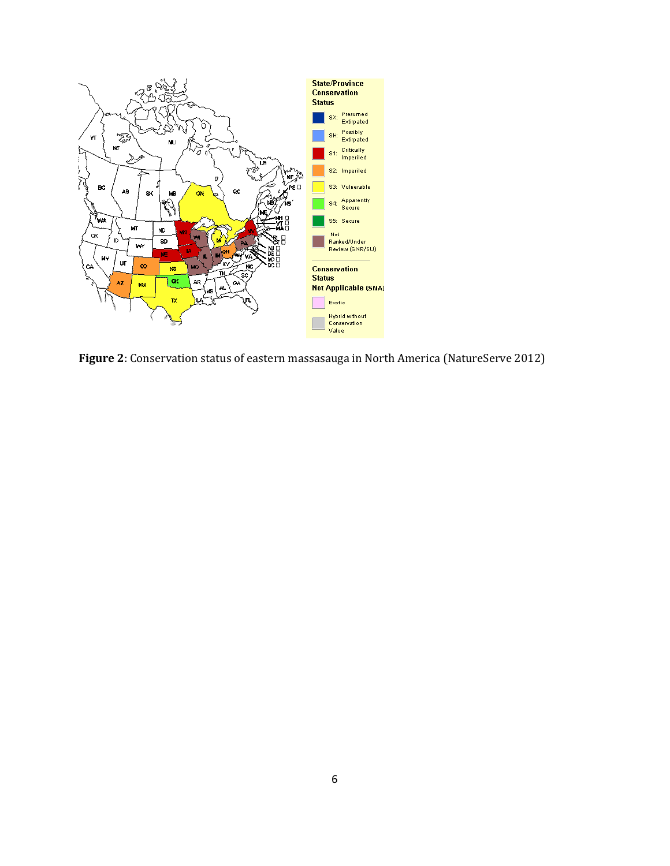

**Figure 2**: Conservation status of eastern massasauga in North America (NatureServe 2012)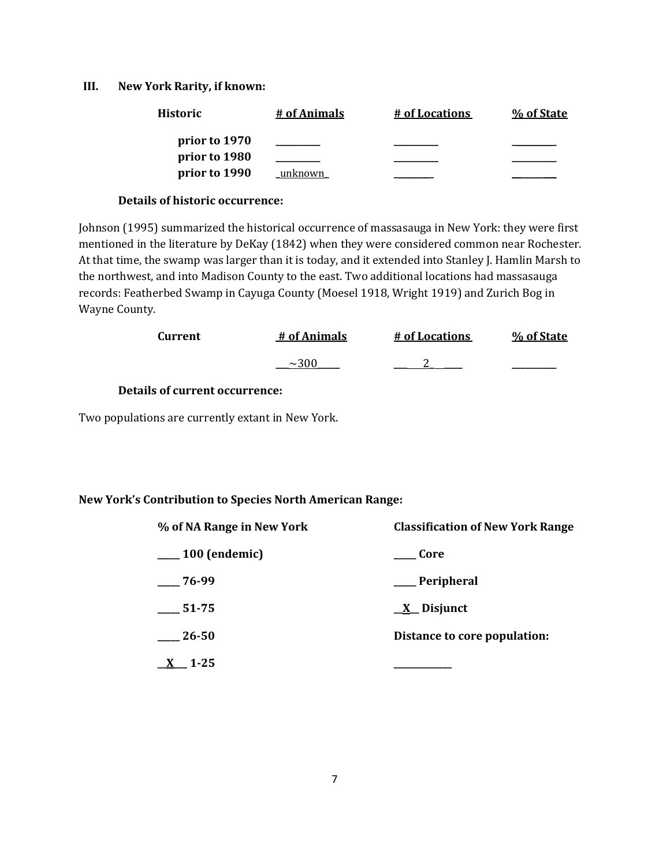#### **III. New York Rarity, if known:**

| <b>Historic</b> | # of Animals | # of Locations | % of State |
|-----------------|--------------|----------------|------------|
| prior to 1970   |              |                |            |
| prior to 1980   |              |                |            |
| prior to 1990   | unknown      |                |            |

#### **Details of historic occurrence:**

Johnson (1995) summarized the historical occurrence of massasauga in New York: they were first mentioned in the literature by DeKay (1842) when they were considered common near Rochester. At that time, the swamp was larger than it is today, and it extended into Stanley J. Hamlin Marsh to the northwest, and into Madison County to the east. Two additional locations had massasauga records: Featherbed Swamp in Cayuga County (Moesel 1918, Wright 1919) and Zurich Bog in Wayne County.

| Current | # of Animals | # of Locations | % of State |
|---------|--------------|----------------|------------|
|         |              |                | _______    |

## **Details of current occurrence:**

Two populations are currently extant in New York.

### **New York's Contribution to Species North American Range:**

| % of NA Range in New York | <b>Classification of New York Range</b> |
|---------------------------|-----------------------------------------|
| $\_\_100$ (endemic)       | Core                                    |
| $-76-99$                  | ___ Peripheral                          |
| $-51-75$                  | $\underline{X}$ Disjunct                |
| $-26-50$                  | Distance to core population:            |
| 1-25                      |                                         |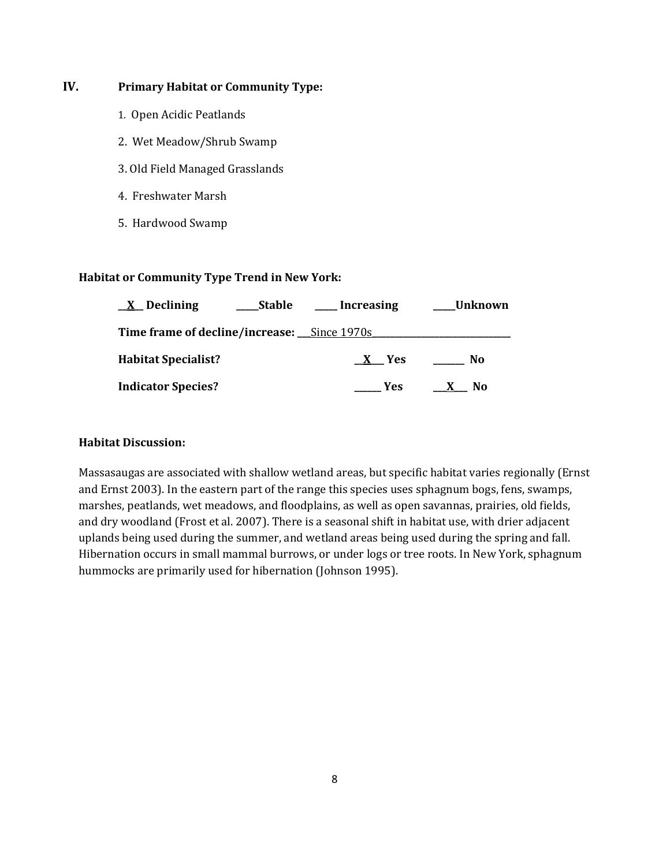## **IV. Primary Habitat or Community Type:**

- 1. Open Acidic Peatlands
- 2. Wet Meadow/Shrub Swamp
- 3. Old Field Managed Grasslands
- 4. Freshwater Marsh
- 5. Hardwood Swamp

#### **Habitat or Community Type Trend in New York:**

| $X$ Declining<br><b>Stable</b>                     | Increasing | Unknown             |
|----------------------------------------------------|------------|---------------------|
| <b>Time frame of decline/increase:</b> Since 1970s |            |                     |
| <b>Habitat Specialist?</b>                         | X Yes      | No                  |
| <b>Indicator Species?</b>                          | Yes.       | No.<br>$\mathbf{X}$ |

## **Habitat Discussion:**

Massasaugas are associated with shallow wetland areas, but specific habitat varies regionally (Ernst and Ernst 2003). In the eastern part of the range this species uses sphagnum bogs, fens, swamps, marshes, peatlands, wet meadows, and floodplains, as well as open savannas, prairies, old fields, and dry woodland (Frost et al. 2007). There is a seasonal shift in habitat use, with drier adjacent uplands being used during the summer, and wetland areas being used during the spring and fall. Hibernation occurs in small mammal burrows, or under logs or tree roots. In New York, sphagnum hummocks are primarily used for hibernation (Johnson 1995).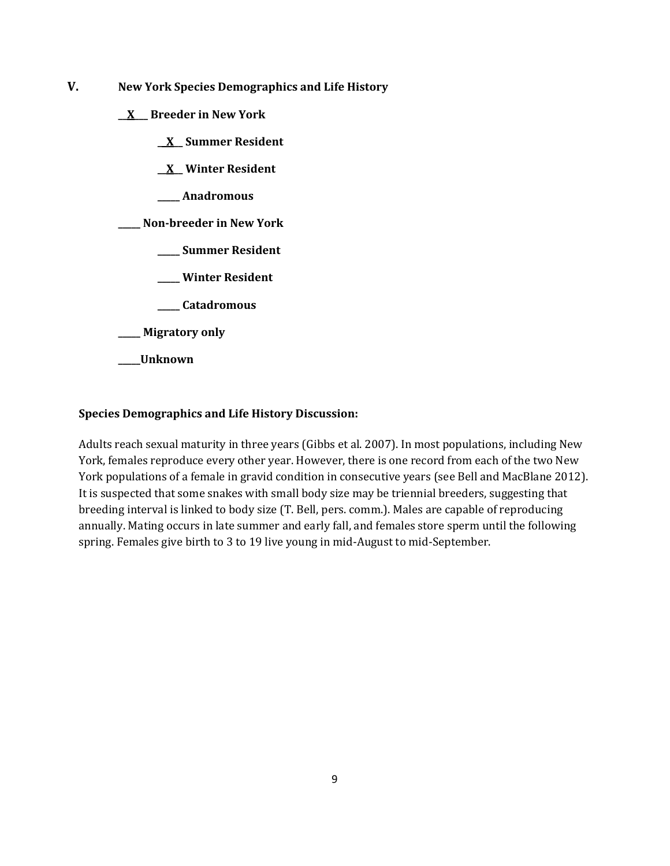- **V. New York Species Demographics and Life History**
	- **\_\_X\_\_\_ Breeder in New York**
		- **\_\_X\_\_ Summer Resident**
		- **\_\_X\_\_ Winter Resident**
		- **\_\_\_\_\_ Anadromous**
	- **\_\_\_\_\_ Non-breeder in New York**
		- **\_\_\_\_\_ Summer Resident**
		- **\_\_\_\_\_ Winter Resident**
		- **\_\_\_\_\_ Catadromous**
	- **\_\_\_\_\_ Migratory only**
	- **\_\_\_\_\_Unknown**

### **Species Demographics and Life History Discussion:**

Adults reach sexual maturity in three years (Gibbs et al. 2007). In most populations, including New York, females reproduce every other year. However, there is one record from each of the two New York populations of a female in gravid condition in consecutive years (see Bell and MacBlane 2012). It is suspected that some snakes with small body size may be triennial breeders, suggesting that breeding interval is linked to body size (T. Bell, pers. comm.). Males are capable of reproducing annually. Mating occurs in late summer and early fall, and females store sperm until the following spring. Females give birth to 3 to 19 live young in mid-August to mid-September.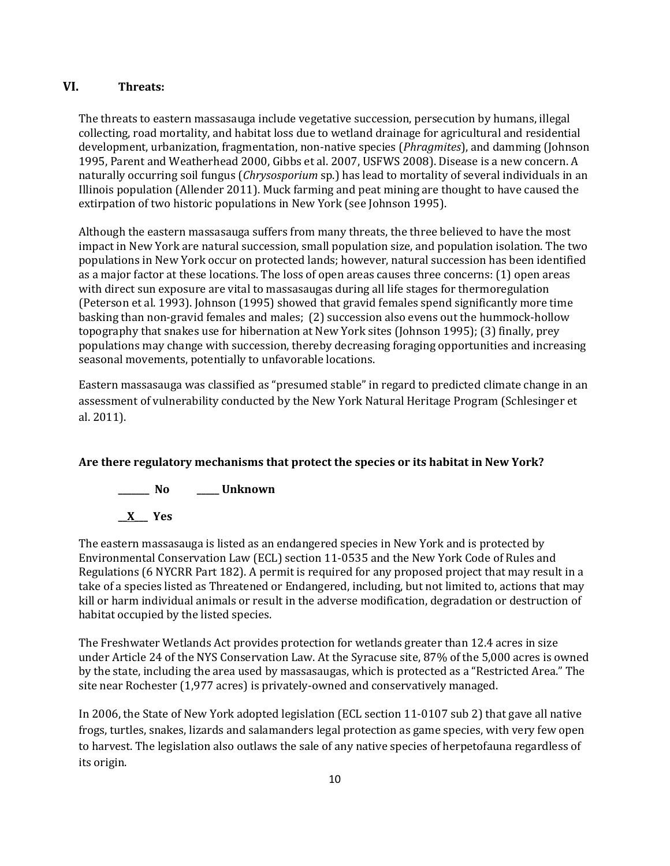## **VI. Threats:**

The threats to eastern massasauga include vegetative succession, persecution by humans, illegal collecting, road mortality, and habitat loss due to wetland drainage for agricultural and residential development, urbanization, fragmentation, non-native species (*Phragmites*), and damming (Johnson 1995, Parent and Weatherhead 2000, Gibbs et al. 2007, USFWS 2008). Disease is a new concern. A naturally occurring soil fungus (*Chrysosporium* sp.) has lead to mortality of several individuals in an Illinois population (Allender 2011). Muck farming and peat mining are thought to have caused the extirpation of two historic populations in New York (see Johnson 1995).

Although the eastern massasauga suffers from many threats, the three believed to have the most impact in New York are natural succession, small population size, and population isolation. The two populations in New York occur on protected lands; however, natural succession has been identified as a major factor at these locations. The loss of open areas causes three concerns: (1) open areas with direct sun exposure are vital to massasaugas during all life stages for thermoregulation (Peterson et al. 1993). Johnson (1995) showed that gravid females spend significantly more time basking than non-gravid females and males; (2) succession also evens out the hummock-hollow topography that snakes use for hibernation at New York sites (Johnson 1995); (3) finally, prey populations may change with succession, thereby decreasing foraging opportunities and increasing seasonal movements, potentially to unfavorable locations.

Eastern massasauga was classified as "presumed stable" in regard to predicted climate change in an assessment of vulnerability conducted by the New York Natural Heritage Program (Schlesinger et al. 2011).

## **Are there regulatory mechanisms that protect the species or its habitat in New York?**



**\_\_X\_\_\_ Yes** 

The eastern massasauga is listed as an endangered species in New York and is protected by Environmental Conservation Law (ECL) section 11-0535 and the New York Code of Rules and Regulations (6 NYCRR Part 182). A permit is required for any proposed project that may result in a take of a species listed as Threatened or Endangered, including, but not limited to, actions that may kill or harm individual animals or result in the adverse modification, degradation or destruction of habitat occupied by the listed species.

The Freshwater Wetlands Act provides protection for wetlands greater than 12.4 acres in size under Article 24 of the NYS Conservation Law. At the Syracuse site, 87% of the 5,000 acres is owned by the state, including the area used by massasaugas, which is protected as a "Restricted Area." The site near Rochester (1,977 acres) is privately-owned and conservatively managed.

In 2006, the State of New York adopted legislation (ECL section 11-0107 sub 2) that gave all native frogs, turtles, snakes, lizards and salamanders legal protection as game species, with very few open to harvest. The legislation also outlaws the sale of any native species of herpetofauna regardless of its origin.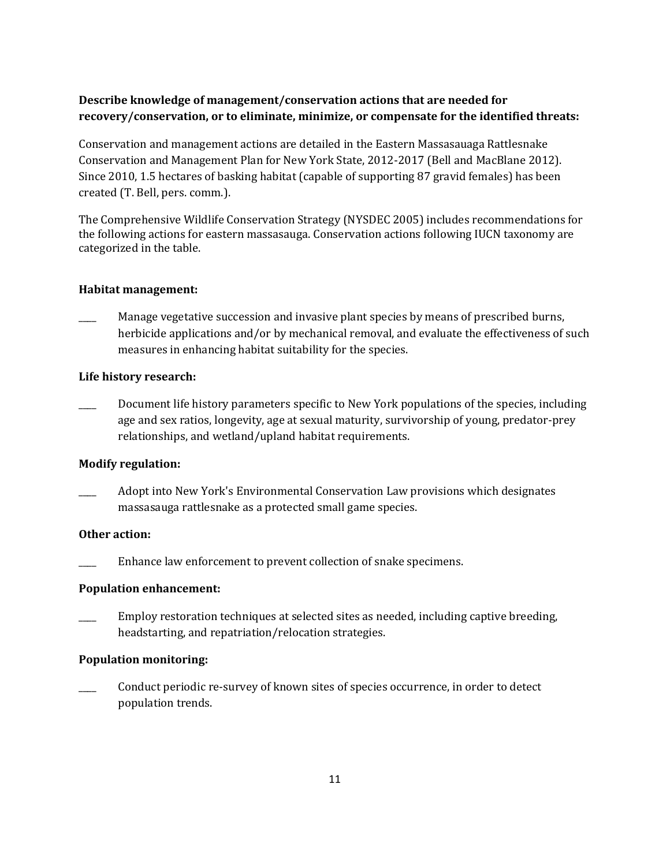## **Describe knowledge of management/conservation actions that are needed for recovery/conservation, or to eliminate, minimize, or compensate for the identified threats:**

Conservation and management actions are detailed in the Eastern Massasauaga Rattlesnake Conservation and Management Plan for New York State, 2012-2017 (Bell and MacBlane 2012). Since 2010, 1.5 hectares of basking habitat (capable of supporting 87 gravid females) has been created (T. Bell, pers. comm.).

The Comprehensive Wildlife Conservation Strategy (NYSDEC 2005) includes recommendations for the following actions for eastern massasauga. Conservation actions following IUCN taxonomy are categorized in the table.

## **Habitat management:**

Manage vegetative succession and invasive plant species by means of prescribed burns, herbicide applications and/or by mechanical removal, and evaluate the effectiveness of such measures in enhancing habitat suitability for the species.

## **Life history research:**

Document life history parameters specific to New York populations of the species, including age and sex ratios, longevity, age at sexual maturity, survivorship of young, predator-prey relationships, and wetland/upland habitat requirements.

## **Modify regulation:**

Adopt into New York's Environmental Conservation Law provisions which designates massasauga rattlesnake as a protected small game species.

### **Other action:**

Enhance law enforcement to prevent collection of snake specimens.

### **Population enhancement:**

\_\_\_\_ Employ restoration techniques at selected sites as needed, including captive breeding, headstarting, and repatriation/relocation strategies.

### **Population monitoring:**

\_\_\_\_ Conduct periodic re-survey of known sites of species occurrence, in order to detect population trends.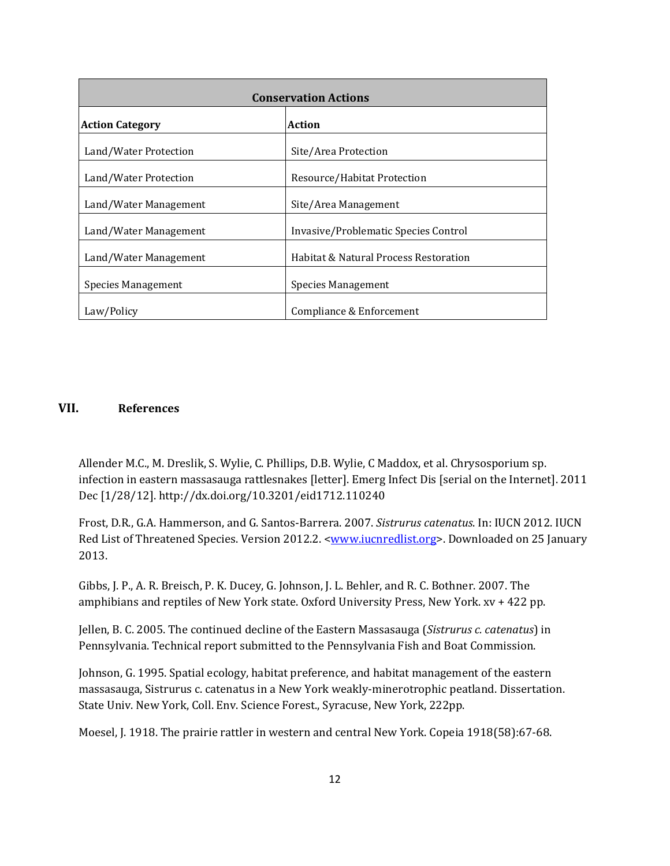| <b>Conservation Actions</b>      |                                       |  |
|----------------------------------|---------------------------------------|--|
| <b>Action Category</b><br>Action |                                       |  |
| Land/Water Protection            | Site/Area Protection                  |  |
| Land/Water Protection            | Resource/Habitat Protection           |  |
| Land/Water Management            | Site/Area Management                  |  |
| Land/Water Management            | Invasive/Problematic Species Control  |  |
| Land/Water Management            | Habitat & Natural Process Restoration |  |
| Species Management               | Species Management                    |  |
| Law/Policy                       | Compliance & Enforcement              |  |

## **VII. References**

Allender M.C., M. Dreslik, S. Wylie, C. Phillips, D.B. Wylie, C Maddox, et al. Chrysosporium sp. infection in eastern massasauga rattlesnakes [letter]. Emerg Infect Dis [serial on the Internet]. 2011 Dec [1/28/12].<http://dx.doi.org/10.3201/eid1712.110240>

Frost, D.R., G.A. Hammerson, and G. Santos-Barrera. 2007. *Sistrurus catenatus*. In: IUCN 2012. IUCN Red List of Threatened Species. Version 2012.2. <<u>www.iucnredlist.org</u>>. Downloaded on 25 January 2013.

Gibbs, J. P., A. R. Breisch, P. K. Ducey, G. Johnson, J. L. Behler, and R. C. Bothner. 2007. The amphibians and reptiles of New York state. Oxford University Press, New York. xv + 422 pp.

Jellen, B. C. 2005. The continued decline of the Eastern Massasauga (*Sistrurus c. catenatus*) in Pennsylvania. Technical report submitted to the Pennsylvania Fish and Boat Commission.

Johnson, G. 1995. Spatial ecology, habitat preference, and habitat management of the eastern massasauga, Sistrurus c. catenatus in a New York weakly-minerotrophic peatland. Dissertation. State Univ. New York, Coll. Env. Science Forest., Syracuse, New York, 222pp.

Moesel, J. 1918. The prairie rattler in western and central New York. Copeia 1918(58):67-68.